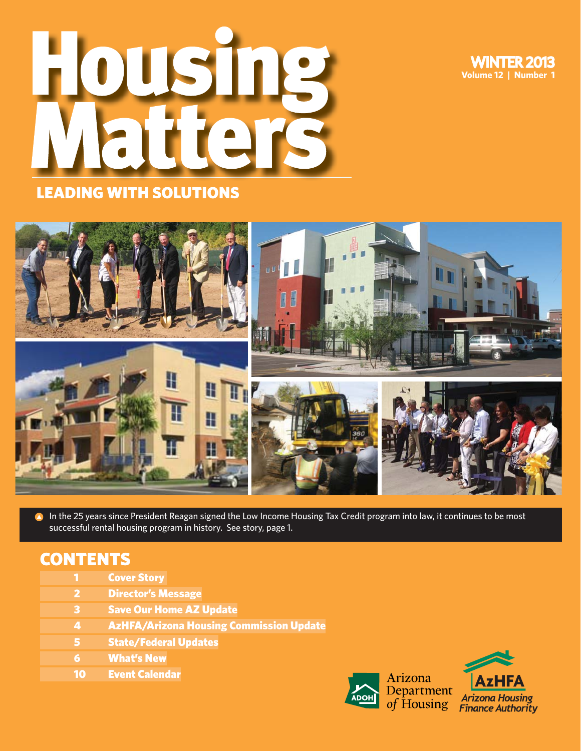WINTER 2013 **Volume 12 | Number 1**





**A** In the 25 years since President Reagan signed the Low Income Housing Tax Credit program into law, it continues to be most successful rental housing program in history. See story, page 1.

### **CONTENTS**

- 1 Cover Story
- 2 Director's Message
- 3 Save Our Home AZ Update
- 4 AzHFA/Arizona Housing Commission Update
- 5 State/Federal Updates
- 6 What's New
- 10 Event Calendar



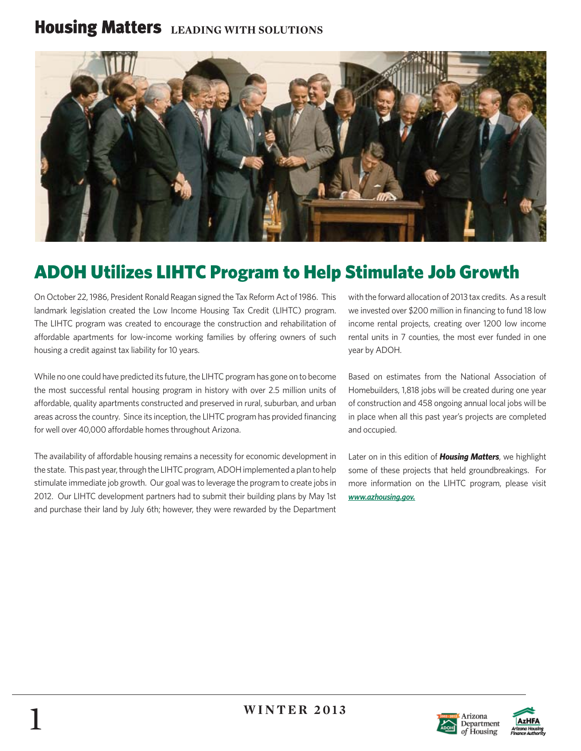## **Housing Matters** LEADING WITH SOLUTIONS



# ADOH Utilizes LIHTC Program to Help Stimulate Job Growth

On October 22, 1986, President Ronald Reagan signed the Tax Reform Act of 1986. This landmark legislation created the Low Income Housing Tax Credit (LIHTC) program. The LIHTC program was created to encourage the construction and rehabilitation of affordable apartments for low-income working families by offering owners of such housing a credit against tax liability for 10 years.

While no one could have predicted its future, the LIHTC program has gone on to become the most successful rental housing program in history with over 2.5 million units of affordable, quality apartments constructed and preserved in rural, suburban, and urban areas across the country. Since its inception, the LIHTC program has provided financing for well over 40,000 affordable homes throughout Arizona.

The availability of affordable housing remains a necessity for economic development in the state. This past year, through the LIHTC program, ADOH implemented a plan to help stimulate immediate job growth. Our goal was to leverage the program to create jobs in 2012. Our LIHTC development partners had to submit their building plans by May 1st and purchase their land by July 6th; however, they were rewarded by the Department

with the forward allocation of 2013 tax credits. As a result we invested over \$200 million in financing to fund 18 low income rental projects, creating over 1200 low income rental units in 7 counties, the most ever funded in one year by ADOH.

Based on estimates from the National Association of Homebuilders, 1,818 jobs will be created during one year of construction and 458 ongoing annual local jobs will be in place when all this past year's projects are completed and occupied.

Later on in this edition of *Housing Matters*, we highlight some of these projects that held groundbreakings. For more information on the LIHTC program, please visit *www.azhousing.gov.*



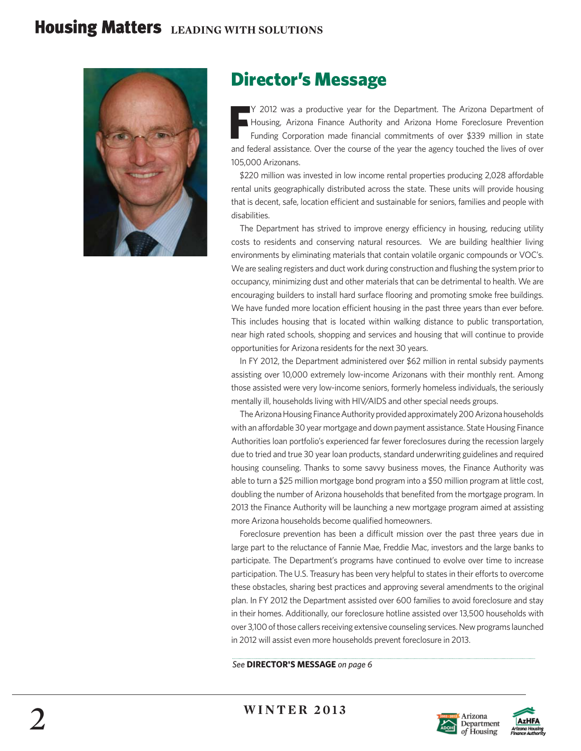

## Director's Message

**F** Y 2012 was a productive year for the Department. The Arizona Department of Housing, Arizona Finance Authority and Arizona Home Foreclosure Prevention Funding Corporation made financial commitments of over \$339 million in state and federal assistance. Over the course of the year the agency touched the lives of over 105,000 Arizonans.

\$220 million was invested in low income rental properties producing 2,028 affordable rental units geographically distributed across the state. These units will provide housing that is decent, safe, location efficient and sustainable for seniors, families and people with disabilities.

The Department has strived to improve energy efficiency in housing, reducing utility costs to residents and conserving natural resources. We are building healthier living environments by eliminating materials that contain volatile organic compounds or VOC's. We are sealing registers and duct work during construction and flushing the system prior to occupancy, minimizing dust and other materials that can be detrimental to health. We are encouraging builders to install hard surface flooring and promoting smoke free buildings. We have funded more location efficient housing in the past three years than ever before. This includes housing that is located within walking distance to public transportation, near high rated schools, shopping and services and housing that will continue to provide opportunities for Arizona residents for the next 30 years.

 In FY 2012, the Department administered over \$62 million in rental subsidy payments assisting over 10,000 extremely low-income Arizonans with their monthly rent. Among those assisted were very low-income seniors, formerly homeless individuals, the seriously mentally ill, households living with HIV/AIDS and other special needs groups.

 The Arizona Housing Finance Authority provided approximately 200 Arizona households with an affordable 30 year mortgage and down payment assistance. State Housing Finance Authorities loan portfolio's experienced far fewer foreclosures during the recession largely due to tried and true 30 year loan products, standard underwriting guidelines and required housing counseling. Thanks to some savvy business moves, the Finance Authority was able to turn a \$25 million mortgage bond program into a \$50 million program at little cost, doubling the number of Arizona households that benefited from the mortgage program. In 2013 the Finance Authority will be launching a new mortgage program aimed at assisting more Arizona households become qualified homeowners.

Foreclosure prevention has been a difficult mission over the past three years due in large part to the reluctance of Fannie Mae, Freddie Mac, investors and the large banks to participate. The Department's programs have continued to evolve over time to increase participation. The U.S. Treasury has been very helpful to states in their efforts to overcome these obstacles, sharing best practices and approving several amendments to the original plan. In FY 2012 the Department assisted over 600 families to avoid foreclosure and stay in their homes. Additionally, our foreclosure hotline assisted over 13,500 households with over 3,100 of those callers receiving extensive counseling services. New programs launched in 2012 will assist even more households prevent foreclosure in 2013.

#### *See* **DIRECTOR'S MESSAGE** *on page 6*



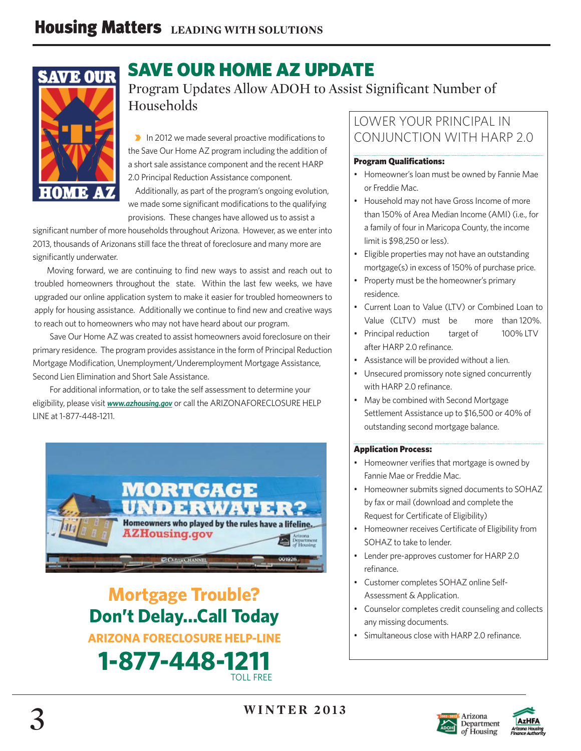

## SAVE OUR HOME AZ UPDATE

Program Updates Allow ADOH to Assist Significant Number of Households

**• In 2012** we made several proactive modifications to the Save Our Home AZ program including the addition of a short sale assistance component and the recent HARP 2.0 Principal Reduction Assistance component.

 Additionally, as part of the program's ongoing evolution, we made some significant modifications to the qualifying provisions. These changes have allowed us to assist a

significant number of more households throughout Arizona. However, as we enter into 2013, thousands of Arizonans still face the threat of foreclosure and many more are significantly underwater.

Moving forward, we are continuing to find new ways to assist and reach out to troubled homeowners throughout the state. Within the last few weeks, we have upgraded our online application system to make it easier for troubled homeowners to apply for housing assistance. Additionally we continue to find new and creative ways to reach out to homeowners who may not have heard about our program.

 Save Our Home AZ was created to assist homeowners avoid foreclosure on their primary residence. The program provides assistance in the form of Principal Reduction Mortgage Modification, Unemployment/Underemployment Mortgage Assistance, Second Lien Elimination and Short Sale Assistance.

 For additional information, or to take the self assessment to determine your eligibility, please visit *www.azhousing.gov* or call the ARIZONAFORECLOSURE HELP LINE at 1-877-448-1211.



**Mortgage Trouble? Don't Delay...Call Today ARIZONA FORECLOSURE HELP-LINE 1-877-448-1211** 

### LOWER YOUR PRINCIPAL IN CONJUNCTION WITH HARP 2.0

### **Program Qualifications:**

- Homeowner's loan must be owned by Fannie Mae or Freddie Mac.
- Household may not have Gross Income of more than 150% of Area Median Income (AMI) (i.e., for a family of four in Maricopa County, the income limit is \$98,250 or less).
- Eligible properties may not have an outstanding mortgage(s) in excess of 150% of purchase price.
- Property must be the homeowner's primary residence.
- Current Loan to Value (LTV) or Combined Loan to Value (CLTV) must be more than 120%.
- Principal reduction target of 100% LTV after HARP 2.0 refinance.
- Assistance will be provided without a lien.
- Unsecured promissory note signed concurrently with HARP 2.0 refinance.
- May be combined with Second Mortgage Settlement Assistance up to \$16,500 or 40% of outstanding second mortgage balance.

### Application Process:

- Homeowner verifies that mortgage is owned by Fannie Mae or Freddie Mac.
- Homeowner submits signed documents to SOHAZ by fax or mail (download and complete the Request for Certificate of Eligibility)
- Homeowner receives Certificate of Eligibility from SOHAZ to take to lender.
- Lender pre-approves customer for HARP 2.0 refinance.
- Customer completes SOHAZ online Self-Assessment & Application.
- Counselor completes credit counseling and collects any missing documents.
- Simultaneous close with HARP 2.0 refinance.



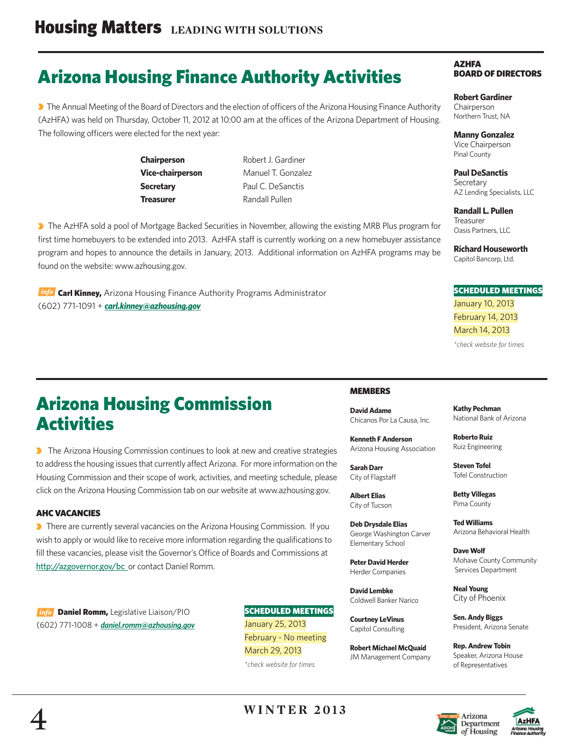# Arizona Housing Finance Authority Activities

The Annual Meeting of the Board of Directors and the election of officers of the Arizona Housing Finance Authority (AzHFA) was held on Thursday, October 11, 2012 at 10:00 am at the offices of the Arizona Department of Housing. The following officers were elected for the next year:

> **Chairperson** Robert J. Gardiner **Secretary Paul C. DeSanctis Treasurer Randall Pullen**

**Vice-chairperson** Manuel T. Gonzalez

▶ The AzHFA sold a pool of Mortgage Backed Securities in November, allowing the existing MRB Plus program for first time homebuyers to be extended into 2013. AzHFA staff is currently working on a new homebuyer assistance program and hopes to announce the details in January, 2013. Additional information on AzHFA programs may be found on the website: www.azhousing.gov.

**Info** Carl Kinney, Arizona Housing Finance Authority Programs Administrator (602) 771-1091 + *carl.kinney@azhousing.gov*

## Arizona Housing Commission **Activities**

**D** The Arizona Housing Commission continues to look at new and creative strategies to address the housing issues that currently affect Arizona. For more information on the Housing Commission and their scope of work, activities, and meeting schedule, please click on the Arizona Housing Commission tab on our website at www.azhousing.gov.

#### AHC VACANCIES

**There are currently several vacancies on the Arizona Housing Commission. If you** wish to apply or would like to receive more information regarding the qualifications to fill these vacancies, please visit the Governor's Office of Boards and Commissions at http://azgovernor.gov/bc or contact Daniel Romm.

info **Daniel Romm,** Legislative Liaison/PIO (602) 771-1008 + *daniel.romm@azhousing.gov* SCHEDULED MEETINGS January 25, 2013 February - No meeting March 29, 2013 *\*check website for times*

#### AZHFA BOARD OF DIRECTORS

**Robert Gardiner Chairperson** Northern Trust, NA

**Manny Gonzalez** Vice Chairperson Pinal County

**Paul DeSanctis Secretary** AZ Lending Specialists, LLC

**Randall L. Pullen** Treasurer Oasis Partners, LLC

**Richard Houseworth** Capitol Bancorp, Ltd.

#### SCHEDULED MEETINGS

January 10, 2013 February 14, 2013 March 14, 2013

*\*check website for times*

#### **MEMBERS**

**David Adame** Chicanos Por La Causa, Inc.

**Kenneth F Anderson** Arizona Housing Association

**Sarah Darr** City of Flagstaff

**Albert Elias** City of Tucson

**Deb Drysdale Elias** George Washington Carver Elementary School

**Peter David Herder** Herder Companies

**David Lembke** Coldwell Banker Narico

**Courtney LeVinus** Capitol Consulting

**Robert Michael McQuaid** JM Management Company **Kathy Pechman** National Bank of Arizona

**Roberto Ruiz**  Ruiz Engineering

**Steven Tofel** Tofel Construction

**Betty Villegas** Pima County

**Ted Williams** Arizona Behavioral Health

**Dave Wolf** Mohave County Community Services Department

**Neal Young** City of Phoenix

**Sen. Andy Biggs** President, Arizona Senate

**Rep. Andrew Tobin** Speaker, Arizona House of Representatives

> Arizona Department of Housing



**WINTER 2013**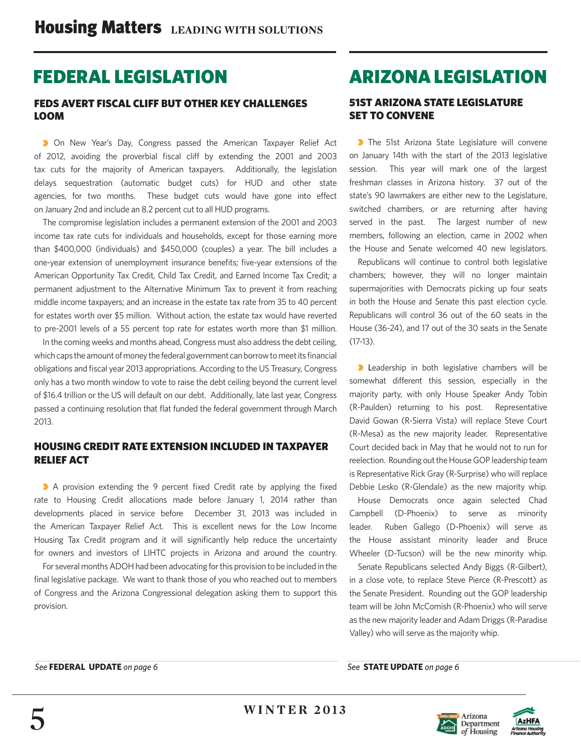## FEDERAL LEGISLATION

### FEDS AVERT FISCAL CLIFF BUT OTHER KEY CHALLENGES LOOM

**D** On New Year's Day, Congress passed the American Taxpayer Relief Act of 2012, avoiding the proverbial fiscal cliff by extending the 2001 and 2003 tax cuts for the majority of American taxpayers. Additionally, the legislation delays sequestration (automatic budget cuts) for HUD and other state agencies, for two months. These budget cuts would have gone into effect on January 2nd and include an 8.2 percent cut to all HUD programs.

 The compromise legislation includes a permanent extension of the 2001 and 2003 income tax rate cuts for individuals and households, except for those earning more than \$400,000 (individuals) and \$450,000 (couples) a year. The bill includes a one-year extension of unemployment insurance benefits; five-year extensions of the American Opportunity Tax Credit, Child Tax Credit, and Earned Income Tax Credit; a permanent adjustment to the Alternative Minimum Tax to prevent it from reaching middle income taxpayers; and an increase in the estate tax rate from 35 to 40 percent for estates worth over \$5 million. Without action, the estate tax would have reverted to pre-2001 levels of a 55 percent top rate for estates worth more than \$1 million.

 In the coming weeks and months ahead, Congress must also address the debt ceiling, which caps the amount of money the federal government can borrow to meet its financial obligations and fiscal year 2013 appropriations. According to the US Treasury, Congress only has a two month window to vote to raise the debt ceiling beyond the current level of \$16.4 trillion or the US will default on our debt. Additionally, late last year, Congress passed a continuing resolution that flat funded the federal government through March 2013.

### HOUSING CREDIT RATE EXTENSION INCLUDED IN TAXPAYER RELIEF ACT

A provision extending the 9 percent fixed Credit rate by applying the fixed rate to Housing Credit allocations made before January 1, 2014 rather than developments placed in service before December 31, 2013 was included in the American Taxpayer Relief Act. This is excellent news for the Low Income Housing Tax Credit program and it will significantly help reduce the uncertainty for owners and investors of LIHTC projects in Arizona and around the country.

 For several months ADOH had been advocating for this provision to be included in the final legislative package. We want to thank those of you who reached out to members of Congress and the Arizona Congressional delegation asking them to support this provision.

## ARIZONA LEGISLATION

### 51ST ARIZONA STATE LEGISLATURE SET TO CONVENE

The 51st Arizona State Legislature will convene on January 14th with the start of the 2013 legislative session. This year will mark one of the largest freshman classes in Arizona history. 37 out of the state's 90 lawmakers are either new to the Legislature, switched chambers, or are returning after having served in the past. The largest number of new members, following an election, came in 2002 when the House and Senate welcomed 40 new legislators.

 Republicans will continue to control both legislative chambers; however, they will no longer maintain supermajorities with Democrats picking up four seats in both the House and Senate this past election cycle. Republicans will control 36 out of the 60 seats in the House (36-24), and 17 out of the 30 seats in the Senate (17-13).

**D** Leadership in both legislative chambers will be somewhat different this session, especially in the majority party, with only House Speaker Andy Tobin (R-Paulden) returning to his post. Representative David Gowan (R-Sierra Vista) will replace Steve Court (R-Mesa) as the new majority leader. Representative Court decided back in May that he would not to run for reelection. Rounding out the House GOP leadership team is Representative Rick Gray (R-Surprise) who will replace Debbie Lesko (R-Glendale) as the new majority whip.

 House Democrats once again selected Chad Campbell (D-Phoenix) to serve as minority leader. Ruben Gallego (D-Phoenix) will serve as the House assistant minority leader and Bruce Wheeler (D-Tucson) will be the new minority whip.

 Senate Republicans selected Andy Biggs (R-Gilbert), in a close vote, to replace Steve Pierce (R-Prescott) as the Senate President. Rounding out the GOP leadership team will be John McComish (R-Phoenix) who will serve as the new majority leader and Adam Driggs (R-Paradise Valley) who will serve as the majority whip.

*See* **STATE UPDATE** *on page 6*



AzHF/ izona Hou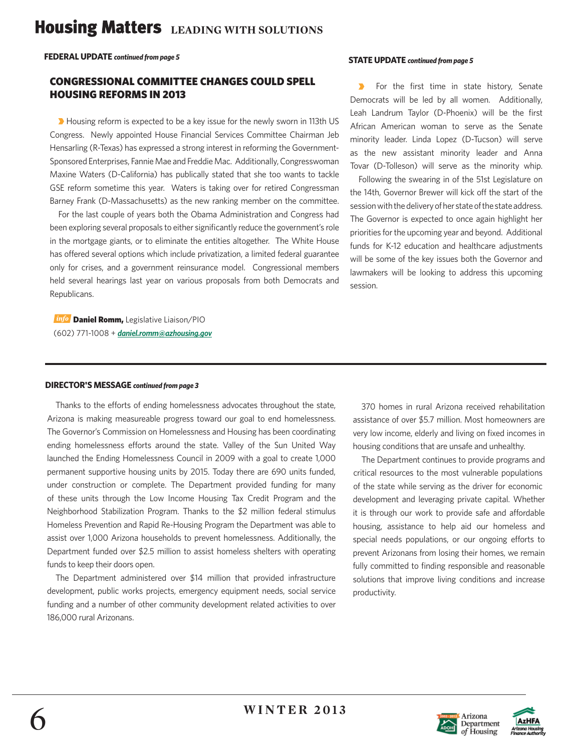# **Housing Matters** LEADING WITH SOLUTIONS

**FEDERAL UPDATE** *continued from page 5*

### CONGRESSIONAL COMMITTEE CHANGES COULD SPELL HOUSING REFORMS IN 2013

**D** Housing reform is expected to be a key issue for the newly sworn in 113th US Congress. Newly appointed House Financial Services Committee Chairman Jeb Hensarling (R-Texas) has expressed a strong interest in reforming the Government-Sponsored Enterprises, Fannie Mae and Freddie Mac. Additionally, Congresswoman Maxine Waters (D-California) has publically stated that she too wants to tackle GSE reform sometime this year. Waters is taking over for retired Congressman Barney Frank (D-Massachusetts) as the new ranking member on the committee.

 For the last couple of years both the Obama Administration and Congress had been exploring several proposals to either significantly reduce the government's role in the mortgage giants, or to eliminate the entities altogether. The White House has offered several options which include privatization, a limited federal guarantee only for crises, and a government reinsurance model. Congressional members held several hearings last year on various proposals from both Democrats and Republicans.

info Daniel Romm, Legislative Liaison/PIO (602) 771-1008 + *daniel.romm@azhousing.gov*

#### **STATE UPDATE** *continued from page 5*

 $\blacktriangleright$  For the first time in state history, Senate Democrats will be led by all women. Additionally, Leah Landrum Taylor (D-Phoenix) will be the first African American woman to serve as the Senate minority leader. Linda Lopez (D-Tucson) will serve as the new assistant minority leader and Anna Tovar (D-Tolleson) will serve as the minority whip.

 Following the swearing in of the 51st Legislature on the 14th, Governor Brewer will kick off the start of the session with the delivery of her state of the state address. The Governor is expected to once again highlight her priorities for the upcoming year and beyond. Additional funds for K-12 education and healthcare adjustments will be some of the key issues both the Governor and lawmakers will be looking to address this upcoming session.

#### **DIRECTOR'S MESSAGE** *continued from page 3*

Thanks to the efforts of ending homelessness advocates throughout the state, Arizona is making measureable progress toward our goal to end homelessness. The Governor's Commission on Homelessness and Housing has been coordinating ending homelessness efforts around the state. Valley of the Sun United Way launched the Ending Homelessness Council in 2009 with a goal to create 1,000 permanent supportive housing units by 2015. Today there are 690 units funded, under construction or complete. The Department provided funding for many of these units through the Low Income Housing Tax Credit Program and the Neighborhood Stabilization Program. Thanks to the \$2 million federal stimulus Homeless Prevention and Rapid Re-Housing Program the Department was able to assist over 1,000 Arizona households to prevent homelessness. Additionally, the Department funded over \$2.5 million to assist homeless shelters with operating funds to keep their doors open.

 The Department administered over \$14 million that provided infrastructure development, public works projects, emergency equipment needs, social service funding and a number of other community development related activities to over 186,000 rural Arizonans.

 370 homes in rural Arizona received rehabilitation assistance of over \$5.7 million. Most homeowners are very low income, elderly and living on fixed incomes in housing conditions that are unsafe and unhealthy.

 The Department continues to provide programs and critical resources to the most vulnerable populations of the state while serving as the driver for economic development and leveraging private capital. Whether it is through our work to provide safe and affordable housing, assistance to help aid our homeless and special needs populations, or our ongoing efforts to prevent Arizonans from losing their homes, we remain fully committed to finding responsible and reasonable solutions that improve living conditions and increase productivity.



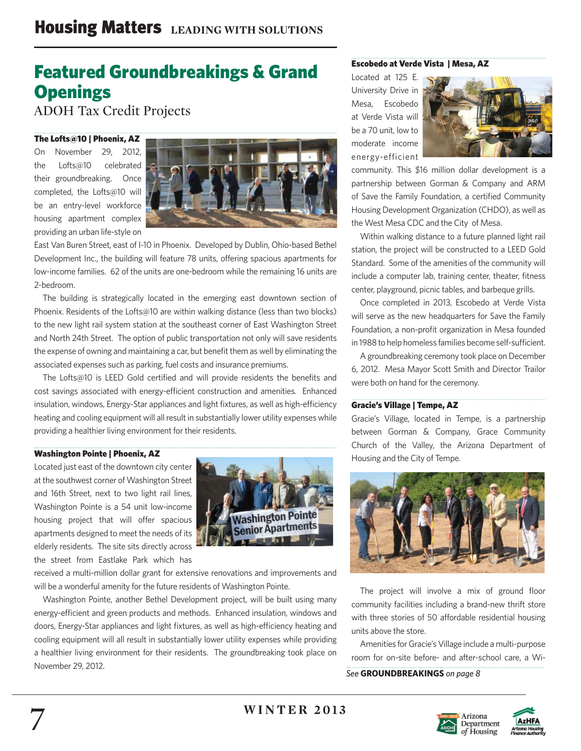# Featured Groundbreakings & Grand **Openings**

ADOH Tax Credit Projects

#### The Lofts@10 | Phoenix, AZ

On November 29, 2012, the Lofts@10 celebrated their groundbreaking. Once completed, the Lofts@10 will be an entry-level workforce housing apartment complex providing an urban life-style on



East Van Buren Street, east of I-10 in Phoenix. Developed by Dublin, Ohio-based Bethel Development Inc., the building will feature 78 units, offering spacious apartments for low-income families. 62 of the units are one-bedroom while the remaining 16 units are 2-bedroom.

 The building is strategically located in the emerging east downtown section of Phoenix. Residents of the Lofts@10 are within walking distance (less than two blocks) to the new light rail system station at the southeast corner of East Washington Street and North 24th Street. The option of public transportation not only will save residents the expense of owning and maintaining a car, but benefit them as well by eliminating the associated expenses such as parking, fuel costs and insurance premiums.

The Lofts@10 is LEED Gold certified and will provide residents the benefits and cost savings associated with energy-efficient construction and amenities. Enhanced insulation, windows, Energy-Star appliances and light fixtures, as well as high-efficiency heating and cooling equipment will all result in substantially lower utility expenses while providing a healthier living environment for their residents.

#### Washington Pointe | Phoenix, AZ

Located just east of the downtown city center at the southwest corner of Washington Street and 16th Street, next to two light rail lines, Washington Pointe is a 54 unit low-income housing project that will offer spacious apartments designed to meet the needs of its elderly residents. The site sits directly across the street from Eastlake Park which has



received a multi-million dollar grant for extensive renovations and improvements and will be a wonderful amenity for the future residents of Washington Pointe.

 Washington Pointe, another Bethel Development project, will be built using many energy-efficient and green products and methods. Enhanced insulation, windows and doors, Energy-Star appliances and light fixtures, as well as high-efficiency heating and cooling equipment will all result in substantially lower utility expenses while providing a healthier living environment for their residents. The groundbreaking took place on November 29, 2012.

#### Escobedo at Verde Vista | Mesa, AZ

Located at 125 E. University Drive in Mesa, Escobedo at Verde Vista will be a 70 unit, low to moderate income energy-efficient



community. This \$16 million dollar development is a partnership between Gorman & Company and ARM of Save the Family Foundation, a certified Community Housing Development Organization (CHDO), as well as the West Mesa CDC and the City of Mesa.

 Within walking distance to a future planned light rail station, the project will be constructed to a LEED Gold Standard. Some of the amenities of the community will include a computer lab, training center, theater, fitness center, playground, picnic tables, and barbeque grills.

 Once completed in 2013, Escobedo at Verde Vista will serve as the new headquarters for Save the Family Foundation, a non-profit organization in Mesa founded in 1988 to help homeless families become self-sufficient.

 A groundbreaking ceremony took place on December 6, 2012. Mesa Mayor Scott Smith and Director Trailor were both on hand for the ceremony.

#### Gracie's Village | Tempe, AZ

Gracie's Village, located in Tempe, is a partnership between Gorman & Company, Grace Community Church of the Valley, the Arizona Department of Housing and the City of Tempe.



The project will involve a mix of ground floor community facilities including a brand-new thrift store with three stories of 50 affordable residential housing units above the store.

 Amenities for Gracie's Village include a multi-purpose room for on-site before- and after-school care, a Wi-

*See* **GROUNDBREAKINGS** *on page 8*



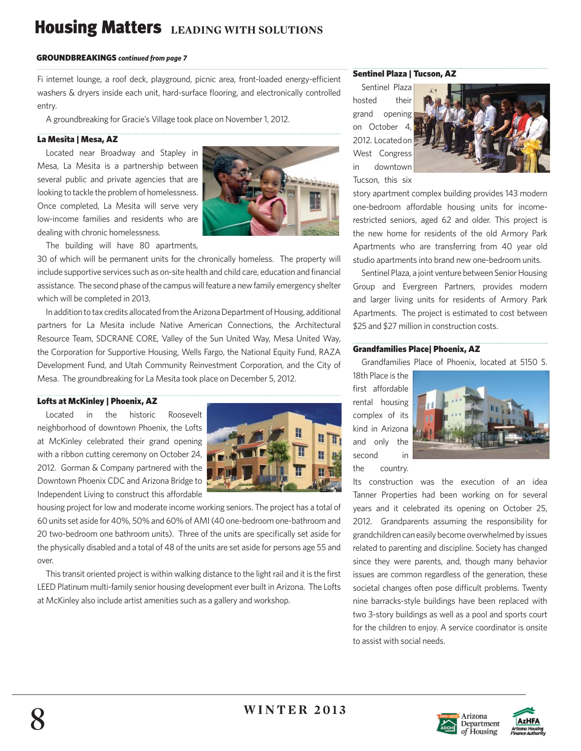# **Housing Matters** LEADING WITH SOLUTIONS

#### GROUNDBREAKINGS *continued from page 7*

Fi internet lounge, a roof deck, playground, picnic area, front-loaded energy-efficient washers & dryers inside each unit, hard-surface flooring, and electronically controlled entry.

A groundbreaking for Gracie's Village took place on November 1, 2012.

#### La Mesita | Mesa, AZ

 Located near Broadway and Stapley in Mesa, La Mesita is a partnership between several public and private agencies that are looking to tackle the problem of homelessness. Once completed, La Mesita will serve very low-income families and residents who are dealing with chronic homelessness.



The building will have 80 apartments,

30 of which will be permanent units for the chronically homeless. The property will include supportive services such as on-site health and child care, education and financial assistance. The second phase of the campus will feature a new family emergency shelter which will be completed in 2013.

 In addition to tax credits allocated from the Arizona Department of Housing, additional partners for La Mesita include Native American Connections, the Architectural Resource Team, SDCRANE CORE, Valley of the Sun United Way, Mesa United Way, the Corporation for Supportive Housing, Wells Fargo, the National Equity Fund, RAZA Development Fund, and Utah Community Reinvestment Corporation, and the City of Mesa. The groundbreaking for La Mesita took place on December 5, 2012.

#### Lofts at McKinley | Phoenix, AZ

 Located in the historic Roosevelt neighborhood of downtown Phoenix, the Lofts at McKinley celebrated their grand opening with a ribbon cutting ceremony on October 24, 2012. Gorman & Company partnered with the Downtown Phoenix CDC and Arizona Bridge to Independent Living to construct this affordable



housing project for low and moderate income working seniors. The project has a total of 60 units set aside for 40%, 50% and 60% of AMI (40 one-bedroom one-bathroom and 20 two-bedroom one bathroom units). Three of the units are specifically set aside for the physically disabled and a total of 48 of the units are set aside for persons age 55 and over.

This transit oriented project is within walking distance to the light rail and it is the first LEED Platinum multi-family senior housing development ever built in Arizona. The Lofts at McKinley also include artist amenities such as a gallery and workshop.

#### Sentinel Plaza | Tucson, AZ

 Sentinel Plaza hosted their grand opening on October 4 2012. Located on West Congress in downtown Tucson, this six



story apartment complex building provides 143 modern one-bedroom affordable housing units for incomerestricted seniors, aged 62 and older. This project is the new home for residents of the old Armory Park Apartments who are transferring from 40 year old studio apartments into brand new one-bedroom units.

 Sentinel Plaza, a joint venture between Senior Housing Group and Evergreen Partners, provides modern and larger living units for residents of Armory Park Apartments. The project is estimated to cost between \$25 and \$27 million in construction costs.

#### Grandfamilies Place| Phoenix, AZ

Grandfamilies Place of Phoenix, located at 5150 S.

18th Place is the first affordable rental housing complex of its kind in Arizona and only the second in the country.



Its construction was the execution of an idea Tanner Properties had been working on for several years and it celebrated its opening on October 25, 2012. Grandparents assuming the responsibility for grandchildren can easily become overwhelmed by issues related to parenting and discipline. Society has changed since they were parents, and, though many behavior issues are common regardless of the generation, these societal changes often pose difficult problems. Twenty nine barracks-style buildings have been replaced with two 3-story buildings as well as a pool and sports court for the children to enjoy. A service coordinator is onsite to assist with social needs.



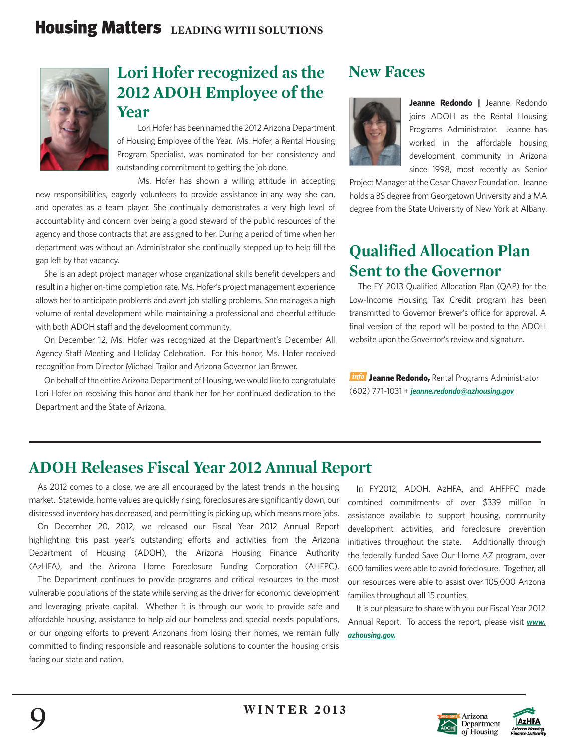

### **Lori Hofer recognized as the 2012 ADOH Employee of the Year**

 Lori Hofer has been named the 2012 Arizona Department of Housing Employee of the Year. Ms. Hofer, a Rental Housing Program Specialist, was nominated for her consistency and outstanding commitment to getting the job done.

 Ms. Hofer has shown a willing attitude in accepting new responsibilities, eagerly volunteers to provide assistance in any way she can, and operates as a team player. She continually demonstrates a very high level of accountability and concern over being a good steward of the public resources of the agency and those contracts that are assigned to her. During a period of time when her department was without an Administrator she continually stepped up to help fill the gap left by that vacancy.

She is an adept project manager whose organizational skills benefit developers and result in a higher on-time completion rate. Ms. Hofer's project management experience allows her to anticipate problems and avert job stalling problems. She manages a high volume of rental development while maintaining a professional and cheerful attitude with both ADOH staff and the development community.

On December 12, Ms. Hofer was recognized at the Department's December All Agency Staff Meeting and Holiday Celebration. For this honor, Ms. Hofer received recognition from Director Michael Trailor and Arizona Governor Jan Brewer.

 On behalf of the entire Arizona Department of Housing, we would like to congratulate Lori Hofer on receiving this honor and thank her for her continued dedication to the Department and the State of Arizona.

### **New Faces**



**Jeanne Redondo |** Jeanne Redondo joins ADOH as the Rental Housing Programs Administrator. Jeanne has worked in the affordable housing development community in Arizona since 1998, most recently as Senior

Project Manager at the Cesar Chavez Foundation. Jeanne holds a BS degree from Georgetown University and a MA degree from the State University of New York at Albany.

### **Qualified Allocation Plan Sent to the Governor**

The FY 2013 Qualified Allocation Plan (QAP) for the Low-Income Housing Tax Credit program has been transmitted to Governor Brewer's office for approval. A final version of the report will be posted to the ADOH website upon the Governor's review and signature.

**Info** Jeanne Redondo, Rental Programs Administrator (602) 771-1031 + *jeanne.redondo@azhousing.gov*

### **ADOH Releases Fiscal Year 2012 Annual Report**

As 2012 comes to a close, we are all encouraged by the latest trends in the housing market. Statewide, home values are quickly rising, foreclosures are significantly down, our distressed inventory has decreased, and permitting is picking up, which means more jobs.

 On December 20, 2012, we released our Fiscal Year 2012 Annual Report highlighting this past year's outstanding efforts and activities from the Arizona Department of Housing (ADOH), the Arizona Housing Finance Authority (AzHFA), and the Arizona Home Foreclosure Funding Corporation (AHFPC).

 The Department continues to provide programs and critical resources to the most vulnerable populations of the state while serving as the driver for economic development and leveraging private capital. Whether it is through our work to provide safe and affordable housing, assistance to help aid our homeless and special needs populations, or our ongoing efforts to prevent Arizonans from losing their homes, we remain fully committed to finding responsible and reasonable solutions to counter the housing crisis facing our state and nation.

 In FY2012, ADOH, AzHFA, and AHFPFC made combined commitments of over \$339 million in assistance available to support housing, community development activities, and foreclosure prevention initiatives throughout the state. Additionally through the federally funded Save Our Home AZ program, over 600 families were able to avoid foreclosure. Together, all our resources were able to assist over 105,000 Arizona families throughout all 15 counties.

 It is our pleasure to share with you our Fiscal Year 2012 Annual Report. To access the report, please visit *www. azhousing.gov.*